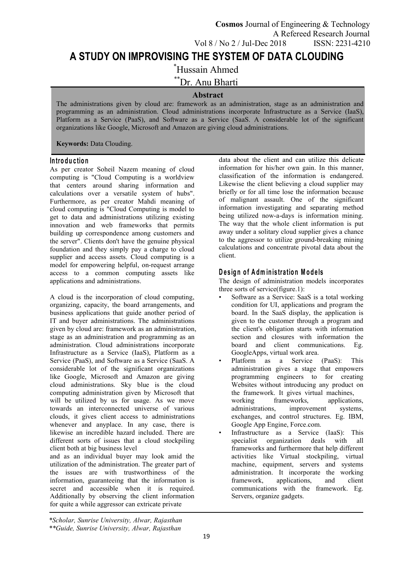**A STUDY ON IMPROVISING THE SYSTEM OF DATA CLOUDING**

\*Hussain Ahmed

\*\*Dr. Anu Bharti

## **Abstract**

The administrations given by cloud are: framework as an administration, stage as an administration and programming as an administration. Cloud administrations incorporate Infrastructure as a Service (IaaS), Platform as a Service (PaaS), and Software as a Service (SaaS. A considerable lot of the significant organizations like Google, Microsoft and Amazon are giving cloud administrations.

**Keywords:** Data Clouding.

## **In tro d u c tio n**

As per creator Soheil Nazem meaning of cloud computing is "Cloud Computing is a worldview that centers around sharing information and calculations over a versatile system of hubs". Furthermore, as per creator Mahdi meaning of cloud computing is "Cloud Computing is model to get to data and administrations utilizing existing innovation and web frameworks that permits building up correspondence among customers and the server". Clients don't have the genuine physical foundation and they simply pay a charge to cloud supplier and access assets. Cloud computing is a model for empowering helpful, on-request arrange access to a common computing assets like applications and administrations.

A cloud is the incorporation of cloud computing, organizing, capacity, the board arrangements, and business applications that guide another period of IT and buyer administrations. The administrations given by cloud are: framework as an administration, stage as an administration and programming as an administration. Cloud administrations incorporate Infrastructure as a Service (IaaS), Platform as a Service (PaaS), and Software as a Service (SaaS. A considerable lot of the significant organizations like Google, Microsoft and Amazon are giving cloud administrations. Sky blue is the cloud computing administration given by Microsoft that will be utilized by us for usage. As we move working towards an interconnected universe of various clouds, it gives client access to administrations whenever and anyplace. In any case, there is likewise an incredible hazard included. There are different sorts of issues that a cloud stockpiling specialist client both at big business level

and as an individual buyer may look amid the utilization of the administration. The greater part of the issues are with trustworthiness of the information, guaranteeing that the information is secret and accessible when it is required. Additionally by observing the client information for quite a while aggressor can extricate private

data about the client and can utilize this delicate information for his/her own gain. In this manner, classification of the information is endangered. Likewise the client believing a cloud supplier may briefly or for all time lose the information because of malignant assault. One of the significant information investigating and separating method being utilized now-a-days is information mining. The way that the whole client information is put away under a solitary cloud supplier gives a chance to the aggressor to utilize ground-breaking mining calculations and concentrate pivotal data about the client.

# **D e s ig n o f A dm in is tra tio n M o d e ls**

The design of administration models incorporates three sorts of service(figure.1):

- Software as a Service: SaaS is a total working condition for UI, applications and program the board. In the SaaS display, the application is given to the customer through a program and the client's obligation starts with information section and closures with information the board and client communications. Eg. GoogleApps, virtual work area.
- Platform as a Service (PaaS): This administration gives a stage that empowers programming engineers to for creating Websites without introducing any product on the framework. It gives virtual machines, frameworks, applications, administrations, improvement systems, exchanges, and control structures. Eg. IBM, Google App Engine, Force.com.
- Infrastructure as a Service (IaaS): This organization deals with all frameworks and furthermore that help different activities like Virtual stockpiling, virtual machine, equipment, servers and systems administration. It incorporate the working applications, and client communications with the framework. Eg. Servers, organize gadgets.

*\*Scholar, Sunrise University, Alwar, Rajasthan \*\*Guide, Sunrise University, Alwar, Rajasthan*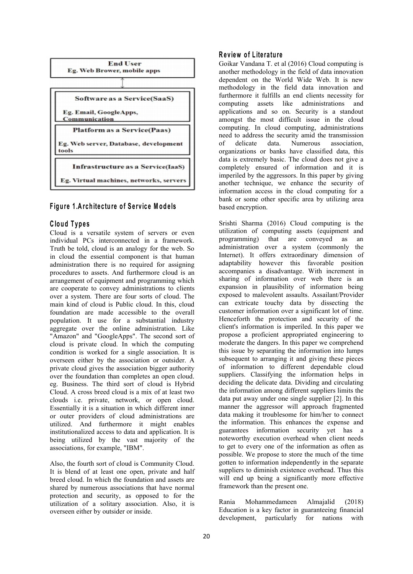

# **Figure 1.Architecture of Service Models** based encryption.

#### **C lo u d T yp e s**

Cloud is a versatile system of servers or even individual PCs interconnected in a framework. Truth be told, cloud is an analogy for the web. So in cloud the essential component is that human administration there is no required for assigning procedures to assets. And furthermore cloud is an arrangement of equipment and programming which are cooperate to convey administrations to clients over a system. There are four sorts of cloud. The main kind of cloud is Public cloud. In this, cloud foundation are made accessible to the overall population. It use for a substantial industry aggregate over the online administration. Like "Amazon" and "GoogleApps". The second sort of cloud is private cloud. In which the computing condition is worked for a single association. It is overseen either by the association or outsider. A private cloud gives the association bigger authority over the foundation than completes an open cloud. eg. Business. The third sort of cloud is Hybrid Cloud. A cross breed cloud is a mix of at least two clouds i.e. private, network, or open cloud. Essentially it is a situation in which different inner or outer providers of cloud administrations are utilized. And furthermore it might enables institutionalized access to data and application. It is being utilized by the vast majority of the associations, for example, "IBM".

Also, the fourth sort of cloud is Community Cloud. It is blend of at least one open, private and half breed cloud. In which the foundation and assets are shared by numerous associations that have normal protection and security, as opposed to for the<br>utilization of a solitant association. Also it is utilization of a solitary association. Also, it is overseen either by outsider or inside.

#### **R e v iew o f L ite ra tu re**

Goikar Vandana T. et al (2016) Cloud computing is another methodology in the field of data innovation dependent on the World Wide Web. It is new methodology in the field data innovation and furthermore it fulfills an end clients necessity for computing assets like administrations and applications and so on. Security is a standout amongst the most difficult issue in the cloud computing. In cloud computing, administrations need to address the security amid the transmission of delicate data. Numerous association, organizations or banks have classified data, this data is extremely basic. The cloud does not give a completely ensured of information and it is imperiled by the aggressors. In this paper by giving another technique, we enhance the security of information access in the cloud computing for a bank or some other specific area by utilizing area

Srishti Sharma (2016) Cloud computing is the utilization of computing assets (equipment and programming) that are conveyed as an administration over a system (commonly the Internet). It offers extraordinary dimension of adaptability however this favorable position accompanies a disadvantage. With increment in sharing of information over web there is an expansion in plausibility of information being exposed to malevolent assaults. Assailant/Provider can extricate touchy data by dissecting the customer information over a significant lot of time. Henceforth the protection and security of the client's information is imperiled. In this paper we propose a proficient appropriated engineering to moderate the dangers. In this paper we comprehend this issue by separating the information into lumps subsequent to arranging it and giving these pieces of information to different dependable cloud suppliers. Classifying the information helps in deciding the delicate data. Dividing and circulating the information among different suppliers limits the data put away under one single supplier [2]. In this manner the aggressor will approach fragmented data making it troublesome for him/her to connect the information. This enhances the expense and guarantees information security yet has a noteworthy execution overhead when client needs to get to every one of the information as often as possible. We propose to store the much of the time gotten to information independently in the separate suppliers to diminish existence overhead. Thus this will end up being a significantly more effective framework than the present one.

Mohammedameen Almajalid (2018) Education is a key factor in guaranteeing financial development, particularly for nations with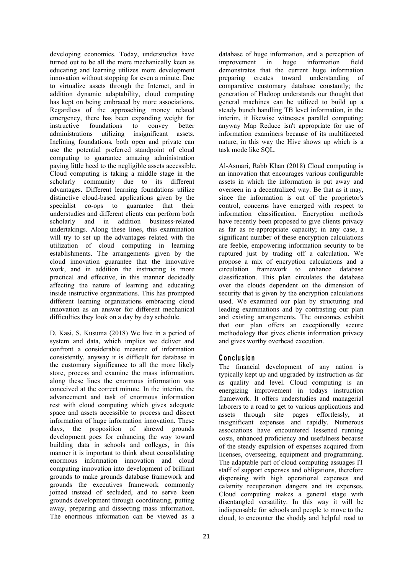developing economies. Today, understudies have turned out to be all the more mechanically keen as educating and learning utilizes more development innovation without stopping for even a minute. Due to virtualize assets through the Internet, and in addition dynamic adaptability, cloud computing has kept on being embraced by more associations. Regardless of the approaching money related emergency, there has been expanding weight for<br>instructive foundations to convey better instructive foundations to convey better administrations utilizing insignificant assets. Inclining foundations, both open and private can and nature, in this use the potential preferred standpoint of cloud computing to guarantee amazing administration paying little heed to the negligible assets accessible. Cloud computing is taking a middle stage in the scholarly community due to its different advantages. Different learning foundations utilize distinctive cloud-based applications given by the specialist co-ops to guarantee that their understudies and different clients can perform both scholarly and in addition business-related undertakings. Along these lines, this examination will try to set up the advantages related with the utilization of cloud computing in learning establishments. The arrangements given by the cloud innovation guarantee that the innovative work, and in addition the instructing is more practical and effective, in this manner decidedly affecting the nature of learning and educating inside instructive organizations. This has prompted different learning organizations embracing cloud innovation as an answer for different mechanical difficulties they look on a day by day schedule.

D. Kasi, S. Kusuma (2018) We live in a period of system and data, which implies we deliver and confront a considerable measure of information consistently, anyway it is difficult for database in the customary significance to all the more likely store, process and examine the mass information, along these lines the enormous information was conceived at the correct minute. In the interim, the advancement and task of enormous information rest with cloud computing which gives adequate space and assets accessible to process and dissect information of huge information innovation. These days, the proposition of shrewd grounds development goes for enhancing the way toward building data in schools and colleges, in this manner it is important to think about consolidating enormous information innovation and cloud computing innovation into development of brilliant grounds to make grounds database framework and grounds the executives framework commonly joined instead of secluded, and to serve keen grounds development through coordinating, putting away, preparing and dissecting mass information. The enormous information can be viewed as a

database of huge information, and a perception of<br>improvement in huge information field improvement in huge information field demonstrates that the current huge information preparing creates toward understanding of comparative customary database constantly; the generation of Hadoop understands our thought that general machines can be utilized to build up a steady bunch handling TB level information, in the interim, it likewise witnesses parallel computing; anyway Map Reduce isn't appropriate for use of information examiners because of its multifaceted nature, in this way the Hive shows up which is a task mode like SQL.

Al-Asmari, Rabb Khan (2018) Cloud computing is an innovation that encourages various configurable assets in which the information is put away and overseen in a decentralized way. Be that as it may, since the information is out of the proprietor's control, concerns have emerged with respect to information classification. Encryption methods have recently been proposed to give clients privacy as far as re-appropriate capacity; in any case, a significant number of these encryption calculations are feeble, empowering information security to be ruptured just by trading off a calculation. We propose a mix of encryption calculations and a circulation framework to enhance database classification. This plan circulates the database over the clouds dependent on the dimension of security that is given by the encryption calculations used. We examined our plan by structuring and leading examinations and by contrasting our plan and existing arrangements. The outcomes exhibit that our plan offers an exceptionally secure methodology that gives clients information privacy and gives worthy overhead execution.

# **C o n c lu sio n**

The financial development of any nation is typically kept up and upgraded by instruction as far as quality and level. Cloud computing is an energizing improvement in todays instruction framework. It offers understudies and managerial laborers to a road to get to various applications and assets through site pages effortlessly, at insignificant expenses and rapidly. Numerous associations have encountered lessened running costs, enhanced proficiency and usefulness because of the steady expulsion of expenses acquired from licenses, overseeing, equipment and programming. The adaptable part of cloud computing assuages IT staff of support expenses and obligations, therefore dispensing with high operational expenses and calamity recuperation dangers and its expenses. Cloud computing makes a general stage with disentangled versatility. In this way it will be indispensable for schools and people to move to the cloud, to encounter the shoddy and helpful road to